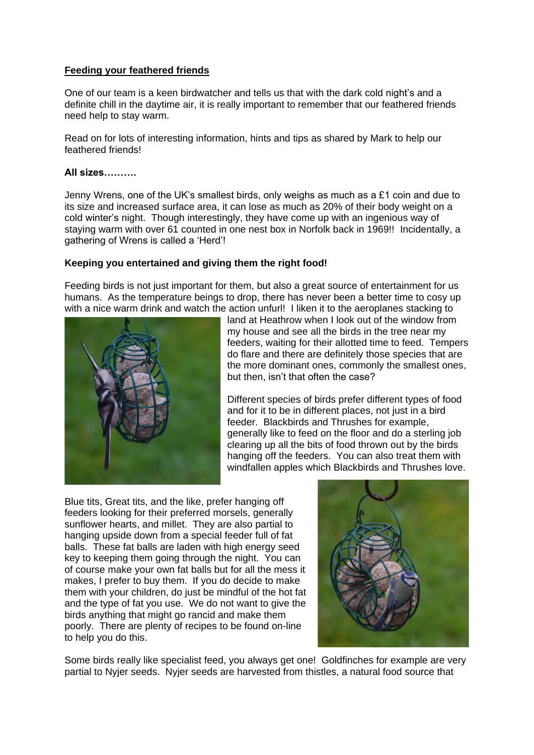## **Feeding your feathered friends**

One of our team is a keen birdwatcher and tells us that with the dark cold night's and a definite chill in the daytime air, it is really important to remember that our feathered friends need help to stay warm.

Read on for lots of interesting information, hints and tips as shared by Mark to help our feathered friends!

#### **All sizes……….**

Jenny Wrens, one of the UK's smallest birds, only weighs as much as a £1 coin and due to its size and increased surface area, it can lose as much as 20% of their body weight on a cold winter's night. Though interestingly, they have come up with an ingenious way of staying warm with over 61 counted in one nest box in Norfolk back in 1969!! Incidentally, a gathering of Wrens is called a 'Herd'!

### **Keeping you entertained and giving them the right food!**

Feeding birds is not just important for them, but also a great source of entertainment for us humans. As the temperature beings to drop, there has never been a better time to cosy up with a nice warm drink and watch the action unfurl! I liken it to the aeroplanes stacking to



land at Heathrow when I look out of the window from my house and see all the birds in the tree near my feeders, waiting for their allotted time to feed. Tempers do flare and there are definitely those species that are the more dominant ones, commonly the smallest ones, but then, isn't that often the case?

Different species of birds prefer different types of food and for it to be in different places, not just in a bird feeder. Blackbirds and Thrushes for example, generally like to feed on the floor and do a sterling job clearing up all the bits of food thrown out by the birds hanging off the feeders. You can also treat them with windfallen apples which Blackbirds and Thrushes love.

Blue tits, Great tits, and the like, prefer hanging off feeders looking for their preferred morsels, generally sunflower hearts, and millet. They are also partial to hanging upside down from a special feeder full of fat balls. These fat balls are laden with high energy seed key to keeping them going through the night. You can of course make your own fat balls but for all the mess it makes, I prefer to buy them. If you do decide to make them with your children, do just be mindful of the hot fat and the type of fat you use. We do not want to give the birds anything that might go rancid and make them poorly. There are plenty of recipes to be found on-line to help you do this.



Some birds really like specialist feed, you always get one! Goldfinches for example are very partial to Nyjer seeds. Nyjer seeds are harvested from thistles, a natural food source that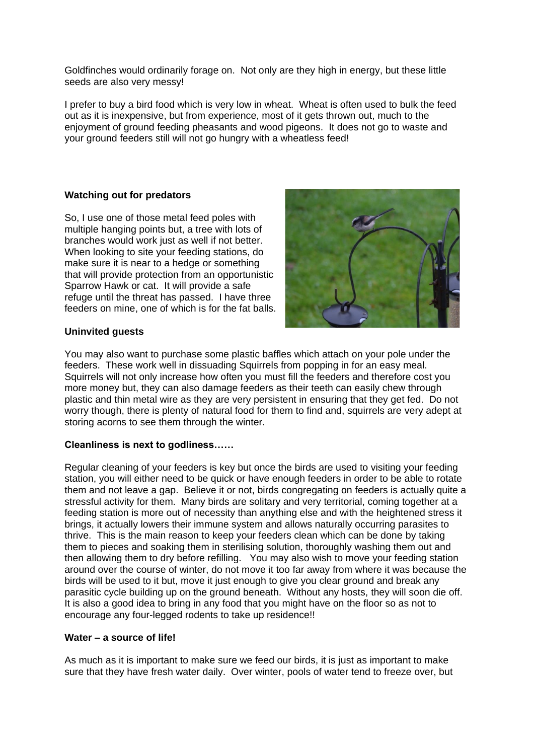Goldfinches would ordinarily forage on. Not only are they high in energy, but these little seeds are also very messy!

I prefer to buy a bird food which is very low in wheat. Wheat is often used to bulk the feed out as it is inexpensive, but from experience, most of it gets thrown out, much to the enjoyment of ground feeding pheasants and wood pigeons. It does not go to waste and your ground feeders still will not go hungry with a wheatless feed!

### **Watching out for predators**

So, I use one of those metal feed poles with multiple hanging points but, a tree with lots of branches would work just as well if not better. When looking to site your feeding stations, do make sure it is near to a hedge or something that will provide protection from an opportunistic Sparrow Hawk or cat. It will provide a safe refuge until the threat has passed. I have three feeders on mine, one of which is for the fat balls.



### **Uninvited guests**

You may also want to purchase some plastic baffles which attach on your pole under the feeders. These work well in dissuading Squirrels from popping in for an easy meal. Squirrels will not only increase how often you must fill the feeders and therefore cost you more money but, they can also damage feeders as their teeth can easily chew through plastic and thin metal wire as they are very persistent in ensuring that they get fed. Do not worry though, there is plenty of natural food for them to find and, squirrels are very adept at storing acorns to see them through the winter.

#### **Cleanliness is next to godliness……**

Regular cleaning of your feeders is key but once the birds are used to visiting your feeding station, you will either need to be quick or have enough feeders in order to be able to rotate them and not leave a gap. Believe it or not, birds congregating on feeders is actually quite a stressful activity for them. Many birds are solitary and very territorial, coming together at a feeding station is more out of necessity than anything else and with the heightened stress it brings, it actually lowers their immune system and allows naturally occurring parasites to thrive. This is the main reason to keep your feeders clean which can be done by taking them to pieces and soaking them in sterilising solution, thoroughly washing them out and then allowing them to dry before refilling. You may also wish to move your feeding station around over the course of winter, do not move it too far away from where it was because the birds will be used to it but, move it just enough to give you clear ground and break any parasitic cycle building up on the ground beneath. Without any hosts, they will soon die off. It is also a good idea to bring in any food that you might have on the floor so as not to encourage any four-legged rodents to take up residence!!

#### **Water – a source of life!**

As much as it is important to make sure we feed our birds, it is just as important to make sure that they have fresh water daily. Over winter, pools of water tend to freeze over, but